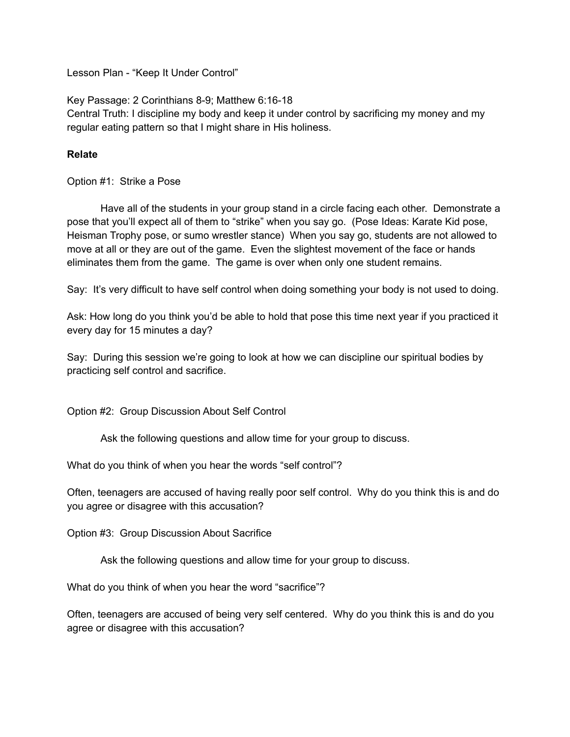Lesson Plan - "Keep It Under Control"

Key Passage: 2 Corinthians 8-9; Matthew 6:16-18 Central Truth: I discipline my body and keep it under control by sacrificing my money and my regular eating pattern so that I might share in His holiness.

## **Relate**

Option #1: Strike a Pose

Have all of the students in your group stand in a circle facing each other. Demonstrate a pose that you'll expect all of them to "strike" when you say go. (Pose Ideas: Karate Kid pose, Heisman Trophy pose, or sumo wrestler stance) When you say go, students are not allowed to move at all or they are out of the game. Even the slightest movement of the face or hands eliminates them from the game. The game is over when only one student remains.

Say: It's very difficult to have self control when doing something your body is not used to doing.

Ask: How long do you think you'd be able to hold that pose this time next year if you practiced it every day for 15 minutes a day?

Say: During this session we're going to look at how we can discipline our spiritual bodies by practicing self control and sacrifice.

Option #2: Group Discussion About Self Control

Ask the following questions and allow time for your group to discuss.

What do you think of when you hear the words "self control"?

Often, teenagers are accused of having really poor self control. Why do you think this is and do you agree or disagree with this accusation?

Option #3: Group Discussion About Sacrifice

Ask the following questions and allow time for your group to discuss.

What do you think of when you hear the word "sacrifice"?

Often, teenagers are accused of being very self centered. Why do you think this is and do you agree or disagree with this accusation?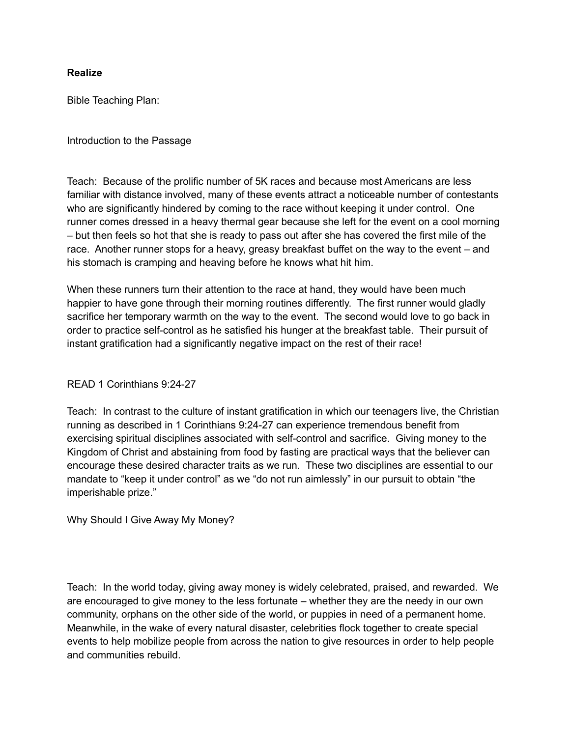### **Realize**

Bible Teaching Plan:

Introduction to the Passage

Teach: Because of the prolific number of 5K races and because most Americans are less familiar with distance involved, many of these events attract a noticeable number of contestants who are significantly hindered by coming to the race without keeping it under control. One runner comes dressed in a heavy thermal gear because she left for the event on a cool morning – but then feels so hot that she is ready to pass out after she has covered the first mile of the race. Another runner stops for a heavy, greasy breakfast buffet on the way to the event – and his stomach is cramping and heaving before he knows what hit him.

When these runners turn their attention to the race at hand, they would have been much happier to have gone through their morning routines differently. The first runner would gladly sacrifice her temporary warmth on the way to the event. The second would love to go back in order to practice self-control as he satisfied his hunger at the breakfast table. Their pursuit of instant gratification had a significantly negative impact on the rest of their race!

## READ 1 Corinthians 9:24-27

Teach: In contrast to the culture of instant gratification in which our teenagers live, the Christian running as described in 1 Corinthians 9:24-27 can experience tremendous benefit from exercising spiritual disciplines associated with self-control and sacrifice. Giving money to the Kingdom of Christ and abstaining from food by fasting are practical ways that the believer can encourage these desired character traits as we run. These two disciplines are essential to our mandate to "keep it under control" as we "do not run aimlessly" in our pursuit to obtain "the imperishable prize."

Why Should I Give Away My Money?

Teach: In the world today, giving away money is widely celebrated, praised, and rewarded. We are encouraged to give money to the less fortunate – whether they are the needy in our own community, orphans on the other side of the world, or puppies in need of a permanent home. Meanwhile, in the wake of every natural disaster, celebrities flock together to create special events to help mobilize people from across the nation to give resources in order to help people and communities rebuild.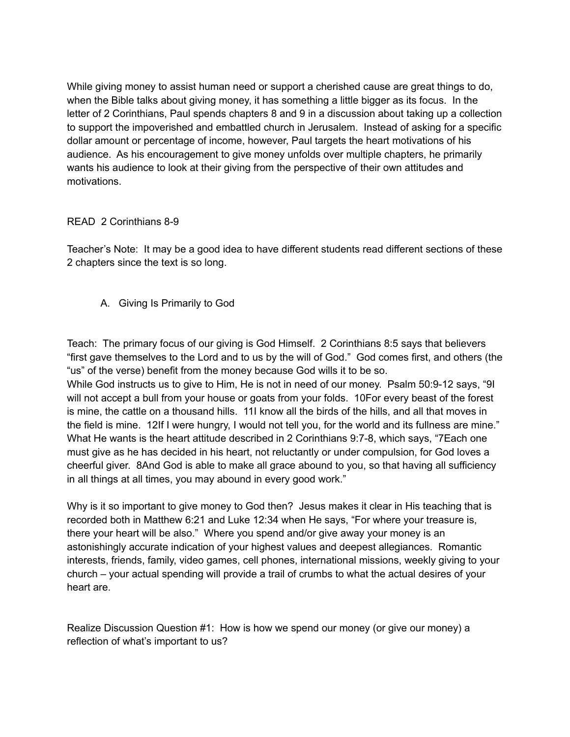While giving money to assist human need or support a cherished cause are great things to do, when the Bible talks about giving money, it has something a little bigger as its focus. In the letter of 2 Corinthians, Paul spends chapters 8 and 9 in a discussion about taking up a collection to support the impoverished and embattled church in Jerusalem. Instead of asking for a specific dollar amount or percentage of income, however, Paul targets the heart motivations of his audience. As his encouragement to give money unfolds over multiple chapters, he primarily wants his audience to look at their giving from the perspective of their own attitudes and motivations.

# READ 2 Corinthians 8-9

Teacher's Note: It may be a good idea to have different students read different sections of these 2 chapters since the text is so long.

A. Giving Is Primarily to God

Teach: The primary focus of our giving is God Himself. 2 Corinthians 8:5 says that believers "first gave themselves to the Lord and to us by the will of God." God comes first, and others (the "us" of the verse) benefit from the money because God wills it to be so.

While God instructs us to give to Him, He is not in need of our money. Psalm 50:9-12 says, "9I will not accept a bull from your house or goats from your folds. 10For every beast of the forest is mine, the cattle on a thousand hills. 11I know all the birds of the hills, and all that moves in the field is mine. 12If I were hungry, I would not tell you, for the world and its fullness are mine." What He wants is the heart attitude described in 2 Corinthians 9:7-8, which says, "7Each one must give as he has decided in his heart, not reluctantly or under compulsion, for God loves a cheerful giver. 8And God is able to make all grace abound to you, so that having all sufficiency in all things at all times, you may abound in every good work."

Why is it so important to give money to God then? Jesus makes it clear in His teaching that is recorded both in Matthew 6:21 and Luke 12:34 when He says, "For where your treasure is, there your heart will be also." Where you spend and/or give away your money is an astonishingly accurate indication of your highest values and deepest allegiances. Romantic interests, friends, family, video games, cell phones, international missions, weekly giving to your church – your actual spending will provide a trail of crumbs to what the actual desires of your heart are.

Realize Discussion Question #1: How is how we spend our money (or give our money) a reflection of what's important to us?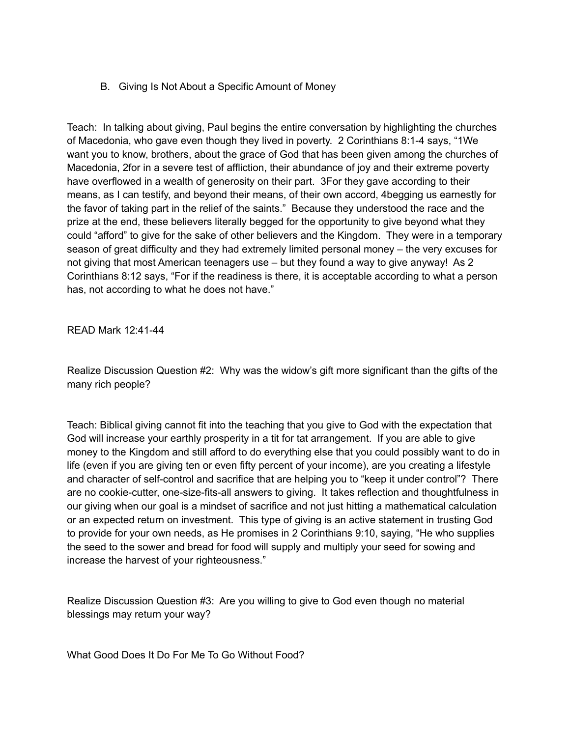B. Giving Is Not About a Specific Amount of Money

Teach: In talking about giving, Paul begins the entire conversation by highlighting the churches of Macedonia, who gave even though they lived in poverty. 2 Corinthians 8:1-4 says, "1We want you to know, brothers, about the grace of God that has been given among the churches of Macedonia, 2for in a severe test of affliction, their abundance of joy and their extreme poverty have overflowed in a wealth of generosity on their part. 3For they gave according to their means, as I can testify, and beyond their means, of their own accord, 4begging us earnestly for the favor of taking part in the relief of the saints." Because they understood the race and the prize at the end, these believers literally begged for the opportunity to give beyond what they could "afford" to give for the sake of other believers and the Kingdom. They were in a temporary season of great difficulty and they had extremely limited personal money – the very excuses for not giving that most American teenagers use – but they found a way to give anyway! As 2 Corinthians 8:12 says, "For if the readiness is there, it is acceptable according to what a person has, not according to what he does not have."

READ Mark 12:41-44

Realize Discussion Question #2: Why was the widow's gift more significant than the gifts of the many rich people?

Teach: Biblical giving cannot fit into the teaching that you give to God with the expectation that God will increase your earthly prosperity in a tit for tat arrangement. If you are able to give money to the Kingdom and still afford to do everything else that you could possibly want to do in life (even if you are giving ten or even fifty percent of your income), are you creating a lifestyle and character of self-control and sacrifice that are helping you to "keep it under control"? There are no cookie-cutter, one-size-fits-all answers to giving. It takes reflection and thoughtfulness in our giving when our goal is a mindset of sacrifice and not just hitting a mathematical calculation or an expected return on investment. This type of giving is an active statement in trusting God to provide for your own needs, as He promises in 2 Corinthians 9:10, saying, "He who supplies the seed to the sower and bread for food will supply and multiply your seed for sowing and increase the harvest of your righteousness."

Realize Discussion Question #3: Are you willing to give to God even though no material blessings may return your way?

What Good Does It Do For Me To Go Without Food?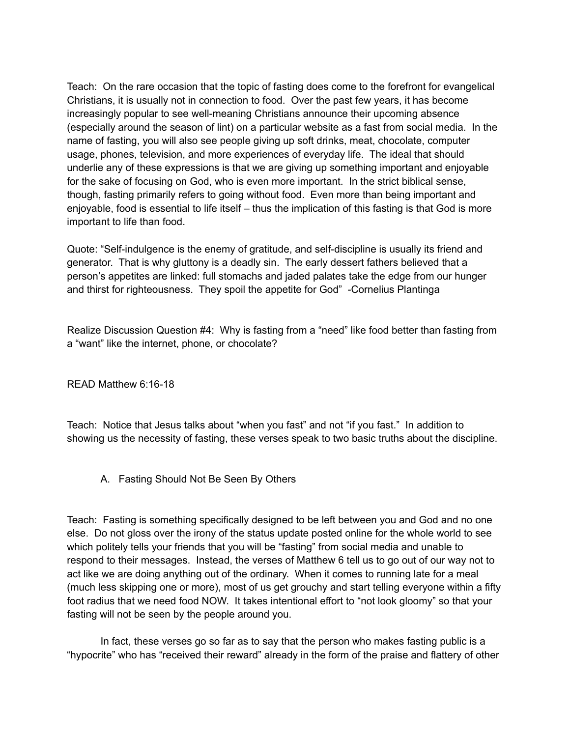Teach: On the rare occasion that the topic of fasting does come to the forefront for evangelical Christians, it is usually not in connection to food. Over the past few years, it has become increasingly popular to see well-meaning Christians announce their upcoming absence (especially around the season of lint) on a particular website as a fast from social media. In the name of fasting, you will also see people giving up soft drinks, meat, chocolate, computer usage, phones, television, and more experiences of everyday life. The ideal that should underlie any of these expressions is that we are giving up something important and enjoyable for the sake of focusing on God, who is even more important. In the strict biblical sense, though, fasting primarily refers to going without food. Even more than being important and enjoyable, food is essential to life itself – thus the implication of this fasting is that God is more important to life than food.

Quote: "Self-indulgence is the enemy of gratitude, and self-discipline is usually its friend and generator. That is why gluttony is a deadly sin. The early dessert fathers believed that a person's appetites are linked: full stomachs and jaded palates take the edge from our hunger and thirst for righteousness. They spoil the appetite for God" -Cornelius Plantinga

Realize Discussion Question #4: Why is fasting from a "need" like food better than fasting from a "want" like the internet, phone, or chocolate?

READ Matthew 6:16-18

Teach: Notice that Jesus talks about "when you fast" and not "if you fast." In addition to showing us the necessity of fasting, these verses speak to two basic truths about the discipline.

A. Fasting Should Not Be Seen By Others

Teach: Fasting is something specifically designed to be left between you and God and no one else. Do not gloss over the irony of the status update posted online for the whole world to see which politely tells your friends that you will be "fasting" from social media and unable to respond to their messages. Instead, the verses of Matthew 6 tell us to go out of our way not to act like we are doing anything out of the ordinary. When it comes to running late for a meal (much less skipping one or more), most of us get grouchy and start telling everyone within a fifty foot radius that we need food NOW. It takes intentional effort to "not look gloomy" so that your fasting will not be seen by the people around you.

In fact, these verses go so far as to say that the person who makes fasting public is a "hypocrite" who has "received their reward" already in the form of the praise and flattery of other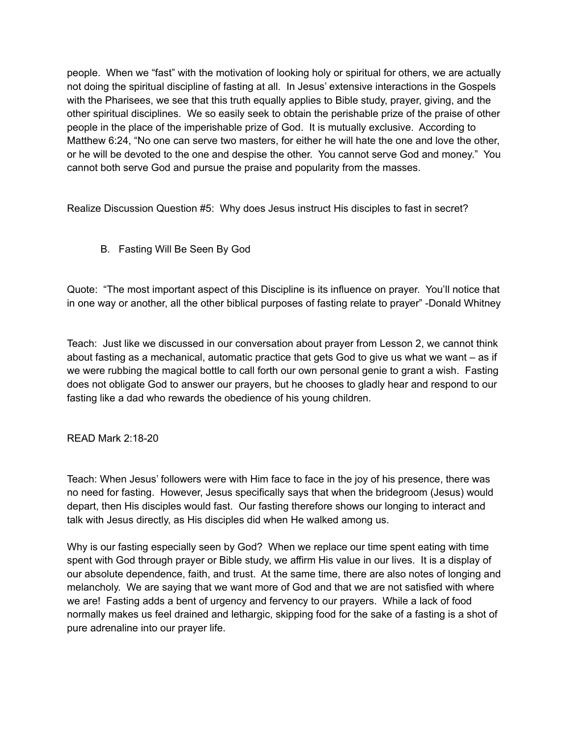people. When we "fast" with the motivation of looking holy or spiritual for others, we are actually not doing the spiritual discipline of fasting at all. In Jesus' extensive interactions in the Gospels with the Pharisees, we see that this truth equally applies to Bible study, prayer, giving, and the other spiritual disciplines. We so easily seek to obtain the perishable prize of the praise of other people in the place of the imperishable prize of God. It is mutually exclusive. According to Matthew 6:24, "No one can serve two masters, for either he will hate the one and love the other, or he will be devoted to the one and despise the other. You cannot serve God and money." You cannot both serve God and pursue the praise and popularity from the masses.

Realize Discussion Question #5: Why does Jesus instruct His disciples to fast in secret?

B. Fasting Will Be Seen By God

Quote: "The most important aspect of this Discipline is its influence on prayer. You'll notice that in one way or another, all the other biblical purposes of fasting relate to prayer" -Donald Whitney

Teach: Just like we discussed in our conversation about prayer from Lesson 2, we cannot think about fasting as a mechanical, automatic practice that gets God to give us what we want – as if we were rubbing the magical bottle to call forth our own personal genie to grant a wish. Fasting does not obligate God to answer our prayers, but he chooses to gladly hear and respond to our fasting like a dad who rewards the obedience of his young children.

READ Mark 2:18-20

Teach: When Jesus' followers were with Him face to face in the joy of his presence, there was no need for fasting. However, Jesus specifically says that when the bridegroom (Jesus) would depart, then His disciples would fast. Our fasting therefore shows our longing to interact and talk with Jesus directly, as His disciples did when He walked among us.

Why is our fasting especially seen by God? When we replace our time spent eating with time spent with God through prayer or Bible study, we affirm His value in our lives. It is a display of our absolute dependence, faith, and trust. At the same time, there are also notes of longing and melancholy. We are saying that we want more of God and that we are not satisfied with where we are! Fasting adds a bent of urgency and fervency to our prayers. While a lack of food normally makes us feel drained and lethargic, skipping food for the sake of a fasting is a shot of pure adrenaline into our prayer life.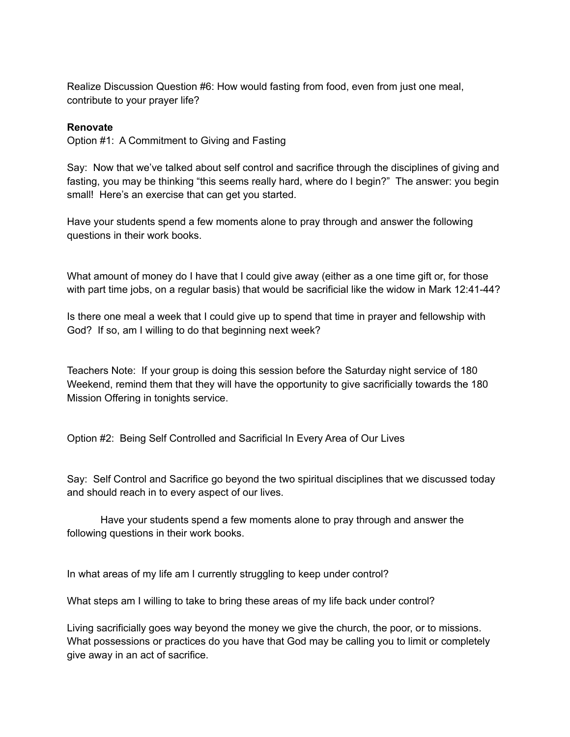Realize Discussion Question #6: How would fasting from food, even from just one meal, contribute to your prayer life?

### **Renovate**

Option #1: A Commitment to Giving and Fasting

Say: Now that we've talked about self control and sacrifice through the disciplines of giving and fasting, you may be thinking "this seems really hard, where do I begin?" The answer: you begin small! Here's an exercise that can get you started.

Have your students spend a few moments alone to pray through and answer the following questions in their work books.

What amount of money do I have that I could give away (either as a one time gift or, for those with part time jobs, on a regular basis) that would be sacrificial like the widow in Mark 12:41-44?

Is there one meal a week that I could give up to spend that time in prayer and fellowship with God? If so, am I willing to do that beginning next week?

Teachers Note: If your group is doing this session before the Saturday night service of 180 Weekend, remind them that they will have the opportunity to give sacrificially towards the 180 Mission Offering in tonights service.

Option #2: Being Self Controlled and Sacrificial In Every Area of Our Lives

Say: Self Control and Sacrifice go beyond the two spiritual disciplines that we discussed today and should reach in to every aspect of our lives.

Have your students spend a few moments alone to pray through and answer the following questions in their work books.

In what areas of my life am I currently struggling to keep under control?

What steps am I willing to take to bring these areas of my life back under control?

Living sacrificially goes way beyond the money we give the church, the poor, or to missions. What possessions or practices do you have that God may be calling you to limit or completely give away in an act of sacrifice.